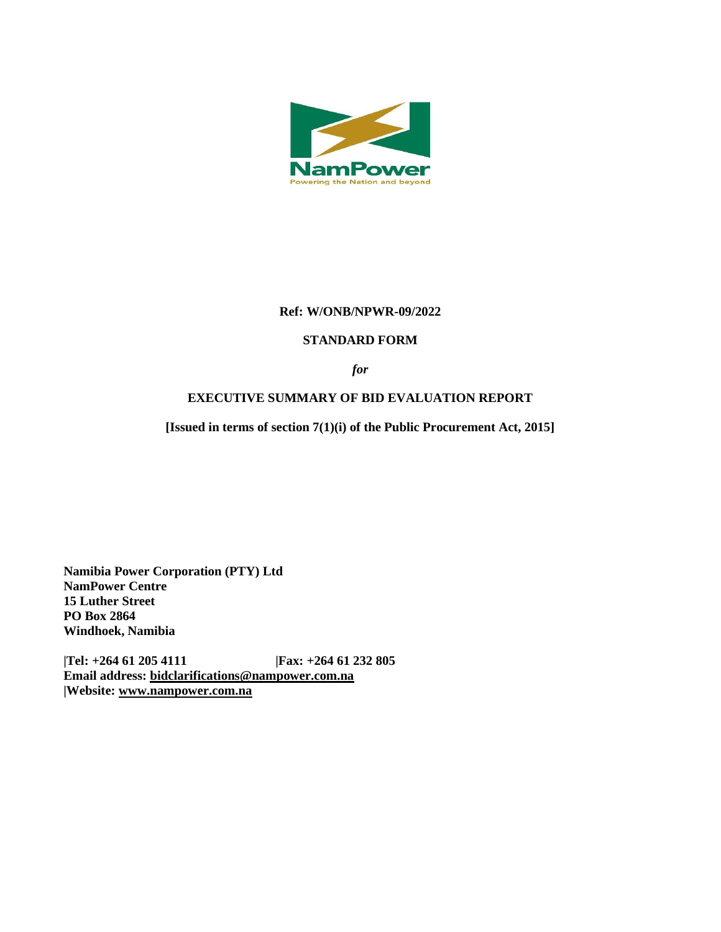

# **Ref: W/ONB/NPWR-09/2022**

#### **STANDARD FORM**

*for*

#### **EXECUTIVE SUMMARY OF BID EVALUATION REPORT**

**[Issued in terms of section 7(1)(i) of the Public Procurement Act, 2015]** 

**Namibia Power Corporation (PTY) Ltd NamPower Centre 15 Luther Street PO Box 2864 Windhoek, Namibia**

**|Tel: +264 61 205 4111 |Fax: +264 61 232 805 Email address: [bidclarifications@nampower.com.na](mailto:bidclarifications@nampower.com.na) |Website: [www.n](http://www./)ampower.com.na**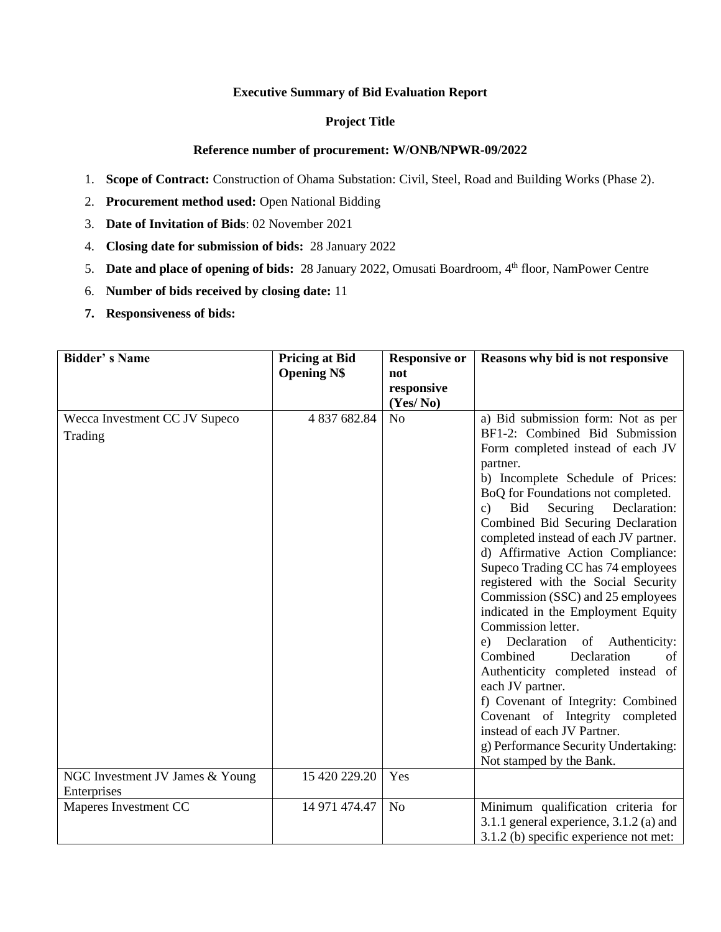# **Executive Summary of Bid Evaluation Report**

# **Project Title**

#### **Reference number of procurement: W/ONB/NPWR-09/2022**

- 1. **Scope of Contract:** Construction of Ohama Substation: Civil, Steel, Road and Building Works (Phase 2).
- 2. **Procurement method used:** Open National Bidding
- 3. **Date of Invitation of Bids**: 02 November 2021
- 4. **Closing date for submission of bids:** 28 January 2022
- 5. **Date and place of opening of bids:** 28 January 2022, Omusati Boardroom, 4th floor, NamPower Centre
- 6. **Number of bids received by closing date:** 11
- **7. Responsiveness of bids:**

| <b>Bidder's Name</b>                           | <b>Pricing at Bid</b><br><b>Opening N\$</b> | <b>Responsive or</b><br>not | Reasons why bid is not responsive                                                                                                                                                                                                                                                                                                                                                                                                                                                                                                                                                                                                                                                                                                                                                                                                                      |
|------------------------------------------------|---------------------------------------------|-----------------------------|--------------------------------------------------------------------------------------------------------------------------------------------------------------------------------------------------------------------------------------------------------------------------------------------------------------------------------------------------------------------------------------------------------------------------------------------------------------------------------------------------------------------------------------------------------------------------------------------------------------------------------------------------------------------------------------------------------------------------------------------------------------------------------------------------------------------------------------------------------|
|                                                |                                             | responsive<br>(Yes/No)      |                                                                                                                                                                                                                                                                                                                                                                                                                                                                                                                                                                                                                                                                                                                                                                                                                                                        |
| Wecca Investment CC JV Supeco<br>Trading       | 4 837 682.84                                | N <sub>o</sub>              | a) Bid submission form: Not as per<br>BF1-2: Combined Bid Submission<br>Form completed instead of each JV<br>partner.<br>b) Incomplete Schedule of Prices:<br>BoQ for Foundations not completed.<br>Securing<br>Declaration:<br>Bid<br>c)<br>Combined Bid Securing Declaration<br>completed instead of each JV partner.<br>d) Affirmative Action Compliance:<br>Supeco Trading CC has 74 employees<br>registered with the Social Security<br>Commission (SSC) and 25 employees<br>indicated in the Employment Equity<br>Commission letter.<br>Declaration of Authenticity:<br>e)<br>Combined<br>Declaration<br>of<br>Authenticity completed instead of<br>each JV partner.<br>f) Covenant of Integrity: Combined<br>Covenant of Integrity completed<br>instead of each JV Partner.<br>g) Performance Security Undertaking:<br>Not stamped by the Bank. |
| NGC Investment JV James & Young<br>Enterprises | 15 420 229.20                               | Yes                         |                                                                                                                                                                                                                                                                                                                                                                                                                                                                                                                                                                                                                                                                                                                                                                                                                                                        |
| Maperes Investment CC                          | 14 971 474.47                               | N <sub>o</sub>              | Minimum qualification criteria for<br>3.1.1 general experience, $3.1.2$ (a) and<br>3.1.2 (b) specific experience not met:                                                                                                                                                                                                                                                                                                                                                                                                                                                                                                                                                                                                                                                                                                                              |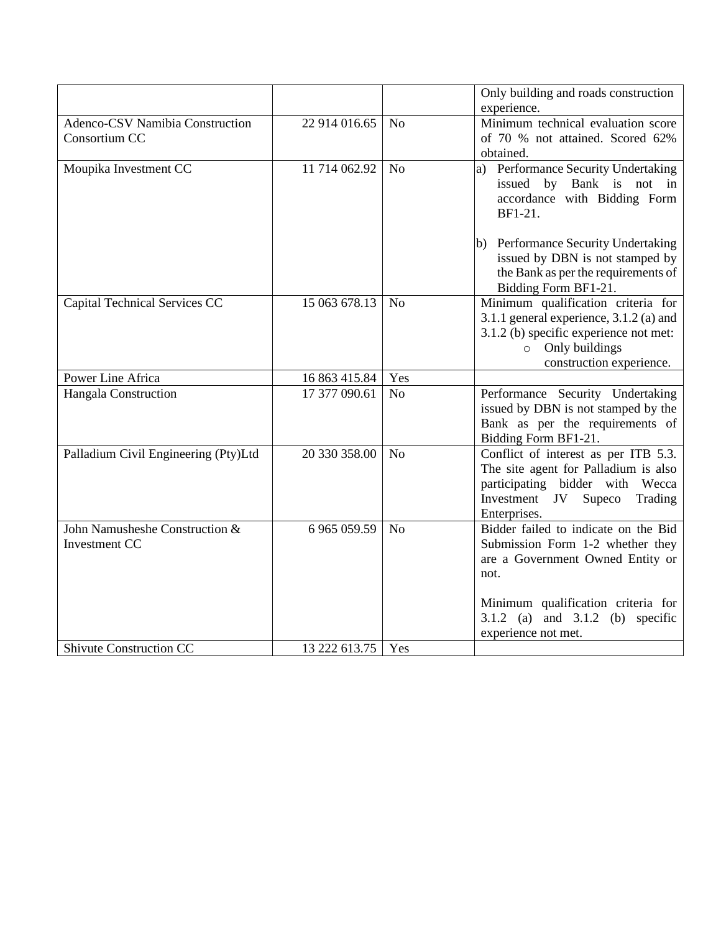|                                      |               |                | Only building and roads construction                                 |
|--------------------------------------|---------------|----------------|----------------------------------------------------------------------|
|                                      |               |                | experience.                                                          |
| Adenco-CSV Namibia Construction      | 22 914 016.65 | N <sub>o</sub> | Minimum technical evaluation score                                   |
| Consortium CC                        |               |                | of 70 % not attained. Scored 62%                                     |
|                                      |               |                | obtained.                                                            |
| Moupika Investment CC                | 11 714 062.92 | N <sub>o</sub> | a) Performance Security Undertaking                                  |
|                                      |               |                | issued by Bank is not in                                             |
|                                      |               |                | accordance with Bidding Form                                         |
|                                      |               |                | BF1-21.                                                              |
|                                      |               |                | (b) Performance Security Undertaking                                 |
|                                      |               |                | issued by DBN is not stamped by                                      |
|                                      |               |                | the Bank as per the requirements of                                  |
|                                      |               |                | Bidding Form BF1-21.                                                 |
| Capital Technical Services CC        | 15 063 678.13 | N <sub>o</sub> | Minimum qualification criteria for                                   |
|                                      |               |                | 3.1.1 general experience, 3.1.2 (a) and                              |
|                                      |               |                | 3.1.2 (b) specific experience not met:                               |
|                                      |               |                | $\circ$ Only buildings                                               |
|                                      |               |                | construction experience.                                             |
| Power Line Africa                    | 16 863 415.84 | Yes            |                                                                      |
| Hangala Construction                 | 17 377 090.61 | N <sub>o</sub> | Performance Security Undertaking                                     |
|                                      |               |                | issued by DBN is not stamped by the                                  |
|                                      |               |                | Bank as per the requirements of                                      |
|                                      |               |                | Bidding Form BF1-21.                                                 |
| Palladium Civil Engineering (Pty)Ltd | 20 330 358.00 | N <sub>o</sub> | Conflict of interest as per ITB 5.3.                                 |
|                                      |               |                | The site agent for Palladium is also                                 |
|                                      |               |                | participating bidder with<br>Wecca                                   |
|                                      |               |                | Investment JV<br>Supeco<br>Trading                                   |
| John Namusheshe Construction &       | 6 965 059.59  | N <sub>o</sub> | Enterprises.<br>Bidder failed to indicate on the Bid                 |
| <b>Investment CC</b>                 |               |                |                                                                      |
|                                      |               |                | Submission Form 1-2 whether they<br>are a Government Owned Entity or |
|                                      |               |                | not.                                                                 |
|                                      |               |                |                                                                      |
|                                      |               |                | Minimum qualification criteria for                                   |
|                                      |               |                | 3.1.2 (a) and $3.1.2$ (b) specific                                   |
|                                      |               |                | experience not met.                                                  |
| <b>Shivute Construction CC</b>       | 13 222 613.75 | Yes            |                                                                      |